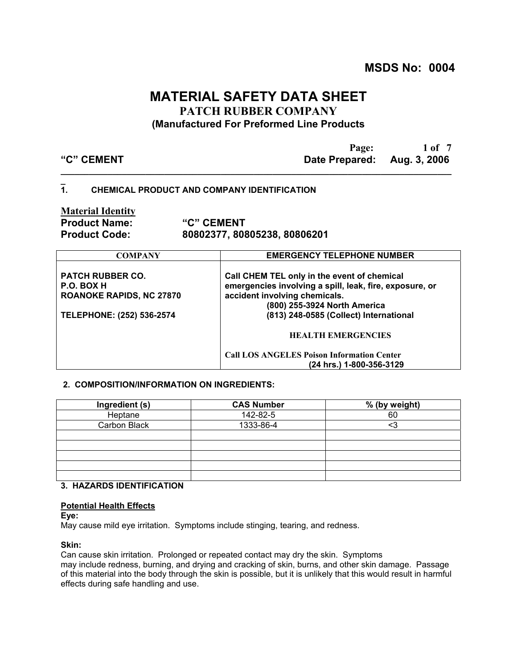**MSDS No: 0004**

# **MATERIAL SAFETY DATA SHEET PATCH RUBBER COMPANY (Manufactured For Preformed Line Products**

| "C" CEMENT |  |  |
|------------|--|--|

**Page:** 1 of 7 Date Prepared: Aug. 3, 2006

#### **\_ 1. CHEMICAL PRODUCT AND COMPANY IDENTIFICATION**

**Material Identity**

**Product Name: "C" CEMENT Product Code: 80802377, 80805238, 80806201**

**\_\_\_\_\_\_\_\_\_\_\_\_\_\_\_\_\_\_\_\_\_\_\_\_\_\_\_\_\_\_\_\_\_\_\_\_\_\_\_\_\_\_\_\_\_\_\_\_\_\_\_\_\_\_\_\_\_\_\_\_\_\_\_\_\_\_\_\_\_\_\_\_\_\_\_\_\_\_\_\_\_\_\_**

| <b>COMPANY</b>                                                           | <b>EMERGENCY TELEPHONE NUMBER</b>                                                                                                                                       |
|--------------------------------------------------------------------------|-------------------------------------------------------------------------------------------------------------------------------------------------------------------------|
| <b>PATCH RUBBER CO.</b><br>P.O. BOX H<br><b>ROANOKE RAPIDS, NC 27870</b> | Call CHEM TEL only in the event of chemical<br>emergencies involving a spill, leak, fire, exposure, or<br>accident involving chemicals.<br>(800) 255-3924 North America |
| TELEPHONE: (252) 536-2574                                                | (813) 248-0585 (Collect) International                                                                                                                                  |
|                                                                          | <b>HEALTH EMERGENCIES</b>                                                                                                                                               |
|                                                                          | <b>Call LOS ANGELES Poison Information Center</b>                                                                                                                       |
|                                                                          | (24 hrs.) 1-800-356-3129                                                                                                                                                |

## **2. COMPOSITION/INFORMATION ON INGREDIENTS:**

| Ingredient (s) | <b>CAS Number</b> | % (by weight) |
|----------------|-------------------|---------------|
| Heptane        | 142-82-5          | 60            |
| Carbon Black   | 1333-86-4         |               |
|                |                   |               |
|                |                   |               |
|                |                   |               |
|                |                   |               |
|                |                   |               |

## **3. HAZARDS IDENTIFICATION**

## **Potential Health Effects**

**Eye:**

May cause mild eye irritation. Symptoms include stinging, tearing, and redness.

## **Skin:**

Can cause skin irritation. Prolonged or repeated contact may dry the skin. Symptoms may include redness, burning, and drying and cracking of skin, burns, and other skin damage. Passage of this material into the body through the skin is possible, but it is unlikely that this would result in harmful effects during safe handling and use.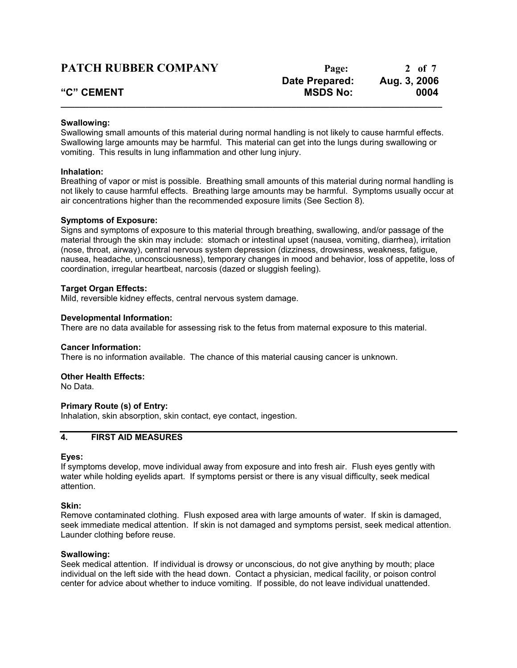| <b>PATCH RUBBER COMPANY</b> | Page:           | 2 of 7       |
|-----------------------------|-----------------|--------------|
|                             | Date Prepared:  | Aug. 3, 2006 |
| "C" CEMENT                  | <b>MSDS No:</b> | 0004         |
|                             |                 |              |

#### **Swallowing:**

Swallowing small amounts of this material during normal handling is not likely to cause harmful effects. Swallowing large amounts may be harmful. This material can get into the lungs during swallowing or vomiting. This results in lung inflammation and other lung injury.

#### **Inhalation:**

Breathing of vapor or mist is possible. Breathing small amounts of this material during normal handling is not likely to cause harmful effects. Breathing large amounts may be harmful. Symptoms usually occur at air concentrations higher than the recommended exposure limits (See Section 8).

#### **Symptoms of Exposure:**

Signs and symptoms of exposure to this material through breathing, swallowing, and/or passage of the material through the skin may include: stomach or intestinal upset (nausea, vomiting, diarrhea), irritation (nose, throat, airway), central nervous system depression (dizziness, drowsiness, weakness, fatigue, nausea, headache, unconsciousness), temporary changes in mood and behavior, loss of appetite, loss of coordination, irregular heartbeat, narcosis (dazed or sluggish feeling).

#### **Target Organ Effects:**

Mild, reversible kidney effects, central nervous system damage.

#### **Developmental Information:**

There are no data available for assessing risk to the fetus from maternal exposure to this material.

#### **Cancer Information:**

There is no information available. The chance of this material causing cancer is unknown.

## **Other Health Effects:**

No Data.

## **Primary Route (s) of Entry:**

Inhalation, skin absorption, skin contact, eye contact, ingestion.

## **4. FIRST AID MEASURES**

#### **Eyes:**

If symptoms develop, move individual away from exposure and into fresh air. Flush eyes gently with water while holding eyelids apart. If symptoms persist or there is any visual difficulty, seek medical attention.

## **Skin:**

Remove contaminated clothing. Flush exposed area with large amounts of water. If skin is damaged, seek immediate medical attention. If skin is not damaged and symptoms persist, seek medical attention. Launder clothing before reuse.

#### **Swallowing:**

Seek medical attention. If individual is drowsy or unconscious, do not give anything by mouth; place individual on the left side with the head down. Contact a physician, medical facility, or poison control center for advice about whether to induce vomiting. If possible, do not leave individual unattended.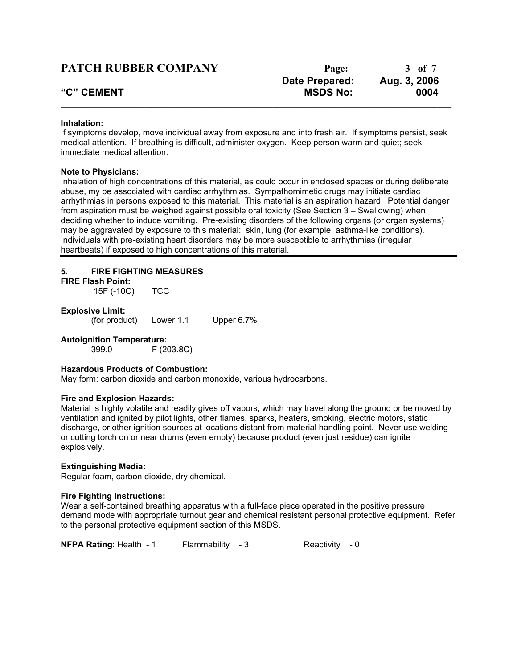| <b>PATCH RUBBER COMPANY</b> | Page:                 | 3 of 7       |
|-----------------------------|-----------------------|--------------|
|                             | <b>Date Prepared:</b> | Aug. 3, 2006 |
| "C" CEMENT                  | <b>MSDS No:</b>       | 0004         |
|                             |                       |              |

#### **Inhalation:**

If symptoms develop, move individual away from exposure and into fresh air. If symptoms persist, seek medical attention. If breathing is difficult, administer oxygen. Keep person warm and quiet; seek immediate medical attention.

#### **Note to Physicians:**

Inhalation of high concentrations of this material, as could occur in enclosed spaces or during deliberate abuse, my be associated with cardiac arrhythmias. Sympathomimetic drugs may initiate cardiac arrhythmias in persons exposed to this material. This material is an aspiration hazard. Potential danger from aspiration must be weighed against possible oral toxicity (See Section 3 – Swallowing) when deciding whether to induce vomiting. Pre-existing disorders of the following organs (or organ systems) may be aggravated by exposure to this material: skin, lung (for example, asthma-like conditions). Individuals with pre-existing heart disorders may be more susceptible to arrhythmias (irregular heartbeats) if exposed to high concentrations of this material.

## **5. FIRE FIGHTING MEASURES**

#### **FIRE Flash Point:**

15F (-10C) TCC

#### **Explosive Limit:**

(for product) Lower 1.1 Upper 6.7%

## **Autoignition Temperature:**

399.0 F (203.8C)

## **Hazardous Products of Combustion:**

May form: carbon dioxide and carbon monoxide, various hydrocarbons.

## **Fire and Explosion Hazards:**

Material is highly volatile and readily gives off vapors, which may travel along the ground or be moved by ventilation and ignited by pilot lights, other flames, sparks, heaters, smoking, electric motors, static discharge, or other ignition sources at locations distant from material handling point. Never use welding or cutting torch on or near drums (even empty) because product (even just residue) can ignite explosively.

#### **Extinguishing Media:**

Regular foam, carbon dioxide, dry chemical.

#### **Fire Fighting Instructions:**

Wear a self-contained breathing apparatus with a full-face piece operated in the positive pressure demand mode with appropriate turnout gear and chemical resistant personal protective equipment. Refer to the personal protective equipment section of this MSDS.

**NFPA Rating:** Health - 1 Flammability - 3 Reactivity - 0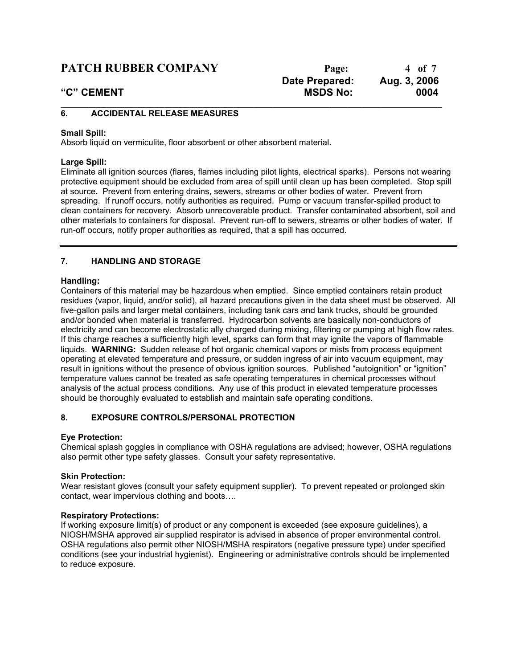## **PATCH RUBBER COMPANY** Page: 4 of 7

## **6. ACCIDENTAL RELEASE MEASURES**

## **Small Spill:**

Absorb liquid on vermiculite, floor absorbent or other absorbent material.

## **Large Spill:**

Eliminate all ignition sources (flares, flames including pilot lights, electrical sparks). Persons not wearing protective equipment should be excluded from area of spill until clean up has been completed. Stop spill at source. Prevent from entering drains, sewers, streams or other bodies of water. Prevent from spreading. If runoff occurs, notify authorities as required. Pump or vacuum transfer-spilled product to clean containers for recovery. Absorb unrecoverable product. Transfer contaminated absorbent, soil and other materials to containers for disposal. Prevent run-off to sewers, streams or other bodies of water. If run-off occurs, notify proper authorities as required, that a spill has occurred.

**\_\_\_\_\_\_\_\_\_\_\_\_\_\_\_\_\_\_\_\_\_\_\_\_\_\_\_\_\_\_\_\_\_\_\_\_\_\_\_\_\_\_\_\_\_\_\_\_\_\_\_\_\_\_\_\_\_\_\_\_\_\_\_\_\_\_\_\_\_\_\_\_\_\_\_\_\_\_\_\_\_**

## **7. HANDLING AND STORAGE**

## **Handling:**

Containers of this material may be hazardous when emptied. Since emptied containers retain product residues (vapor, liquid, and/or solid), all hazard precautions given in the data sheet must be observed. All five-gallon pails and larger metal containers, including tank cars and tank trucks, should be grounded and/or bonded when material is transferred. Hydrocarbon solvents are basically non-conductors of electricity and can become electrostatic ally charged during mixing, filtering or pumping at high flow rates. If this charge reaches a sufficiently high level, sparks can form that may ignite the vapors of flammable liquids. **WARNING:** Sudden release of hot organic chemical vapors or mists from process equipment operating at elevated temperature and pressure, or sudden ingress of air into vacuum equipment, may result in ignitions without the presence of obvious ignition sources. Published "autoignition" or "ignition" temperature values cannot be treated as safe operating temperatures in chemical processes without analysis of the actual process conditions. Any use of this product in elevated temperature processes should be thoroughly evaluated to establish and maintain safe operating conditions.

## **8. EXPOSURE CONTROLS/PERSONAL PROTECTION**

## **Eye Protection:**

Chemical splash goggles in compliance with OSHA regulations are advised; however, OSHA regulations also permit other type safety glasses. Consult your safety representative.

## **Skin Protection:**

Wear resistant gloves (consult your safety equipment supplier). To prevent repeated or prolonged skin contact, wear impervious clothing and boots….

## **Respiratory Protections:**

If working exposure limit(s) of product or any component is exceeded (see exposure guidelines), a NIOSH/MSHA approved air supplied respirator is advised in absence of proper environmental control. OSHA regulations also permit other NIOSH/MSHA respirators (negative pressure type) under specified conditions (see your industrial hygienist). Engineering or administrative controls should be implemented to reduce exposure.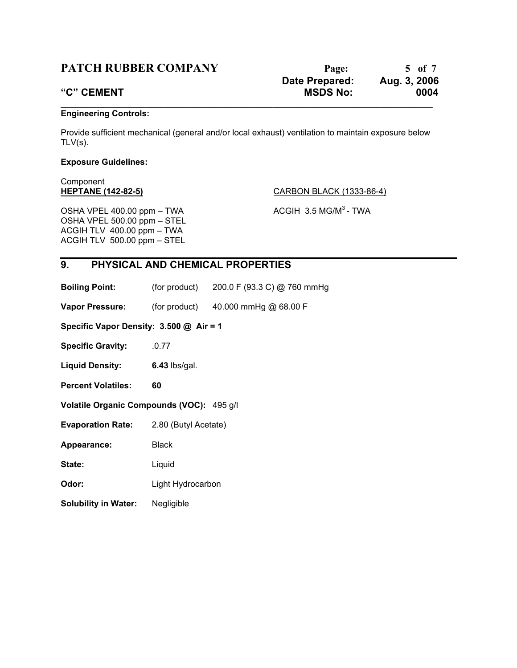## **PATCH RUBBER COMPANY** Page: 5 of 7

# **Date Prepared: Aug. 3, 2006 "C" CEMENT MSDS No: 0004 \_\_\_\_\_\_\_\_\_\_\_\_\_\_\_\_\_\_\_\_\_\_\_\_\_\_\_\_\_\_\_\_\_\_\_\_\_\_\_\_\_\_\_\_\_\_\_\_\_\_\_\_\_\_\_\_\_\_\_\_\_\_\_\_\_\_\_\_\_\_\_\_\_\_\_\_\_\_\_**

## **Engineering Controls:**

Provide sufficient mechanical (general and/or local exhaust) ventilation to maintain exposure below  $TLV(s)$ .

## **Exposure Guidelines:**

Component

**HEPTANE (142-82-5)** CARBON BLACK (1333-86-4)

OSHA VPEL 400.00 ppm – TWA  $\overline{ACGH}$  3.5 MG/M<sup>3</sup> - TWA OSHA VPEL 500.00 ppm – STEL ACGIH TLV 400.00 ppm – TWA ACGIH TLV 500.00 ppm – STEL

## **9. PHYSICAL AND CHEMICAL PROPERTIES**

**Boiling Point:** (for product) 200.0 F (93.3 C) @ 760 mmHg

**Vapor Pressure:** (for product) 40.000 mmHg @ 68.00 F

**Specific Vapor Density: 3.500 @ Air = 1**

**Specific Gravity:** .0.77

**Liquid Density: 6.43** lbs/gal.

**Percent Volatiles: 60**

**Volatile Organic Compounds (VOC):** 495 g/l

**Evaporation Rate:** 2.80 (Butyl Acetate)

Appearance: Black

State: Liquid

**Odor:** Light Hydrocarbon

**Solubility in Water:** Negligible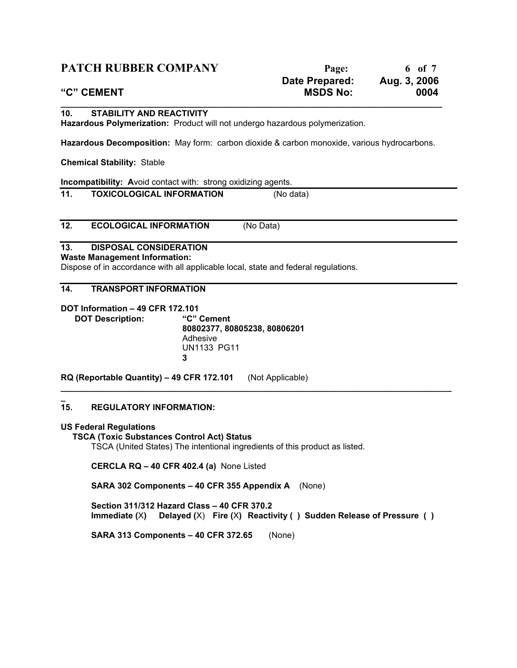| <b>PATCH RUBBER COMPANY</b>                                                                                            | Page:                             | 6 of 7               |
|------------------------------------------------------------------------------------------------------------------------|-----------------------------------|----------------------|
| "C" CEMENT                                                                                                             | Date Prepared:<br><b>MSDS No:</b> | Aug. 3, 2006<br>0004 |
| 10.<br><b>STABILITY AND REACTIVITY</b><br>Hazardous Polymerization: Product will not undergo hazardous polymerization. |                                   |                      |
| Hazardous Decomposition: May form: carbon dioxide & carbon monoxide, various hydrocarbons.                             |                                   |                      |

**Chemical Stability:** Stable

**Incompatibility: Avoid contact with: strong oxidizing agents.** 

## **11. TOXICOLOGICAL INFORMATION** (No data)

**12. ECOLOGICAL INFORMATION** (No Data)

## **13. DISPOSAL CONSIDERATION**

**Waste Management Information:**

Dispose of in accordance with all applicable local, state and federal regulations.

## **14. TRANSPORT INFORMATION**

**DOT Information – 49 CFR 172.101 DOT Description: "C" Cement 80802377, 80805238, 80806201** Adhesive UN1133 PG11 **3**

**RQ (Reportable Quantity) – 49 CFR 172.101** (Not Applicable)

#### **\_ 15. REGULATORY INFORMATION:**

## **US Federal Regulations**

 **TSCA (Toxic Substances Control Act) Status**

TSCA (United States) The intentional ingredients of this product as listed.

**CERCLA RQ – 40 CFR 402.4 (a)** None Listed

**SARA 302 Components – 40 CFR 355 Appendix A** (None)

**Section 311/312 Hazard Class – 40 CFR 370.2 Immediate (**X**) Delayed (**X) **Fire (**X**) Reactivity ( ) Sudden Release of Pressure ( )**

**\_\_\_\_\_\_\_\_\_\_\_\_\_\_\_\_\_\_\_\_\_\_\_\_\_\_\_\_\_\_\_\_\_\_\_\_\_\_\_\_\_\_\_\_\_\_\_\_\_\_\_\_\_\_\_\_\_\_\_\_\_\_\_\_\_\_\_\_\_\_\_\_\_\_\_\_\_\_\_\_\_\_\_**

**SARA 313 Components – 40 CFR 372.65** (None)